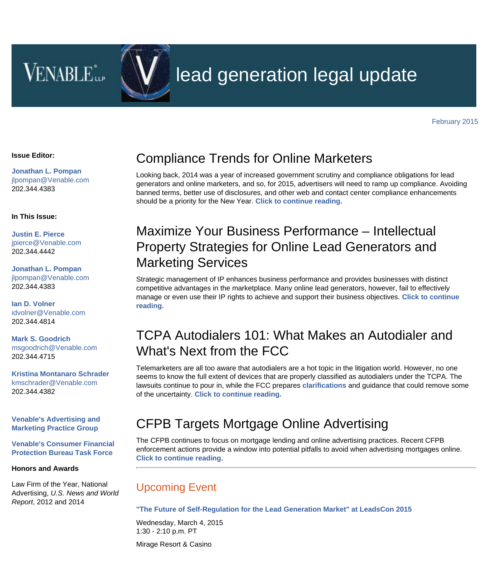**VENABLE** 



# lead generation legal update

#### **Issue Editor:**

**[Jonathan L. Pompan](http://www.venable.com/jonathan-l-pompan)** [jlpompan@Venable.com](mailto:jlpompan@Venable.com) 202.344.4383

#### **In This Issue:**

**[Justin E. Pierce](http://www.venable.com/Justin-E-Pierce)** [jpierce@Venable.com](mailto:jpierce@Venable.com) 202.344.4442

**[Jonathan L. Pompan](http://www.venable.com/jonathan-l-pompan)** [jlpompan@Venable.com](mailto:jlpompan@Venable.com) 202.344.4383

**[Ian D. Volner](http://www.venable.com/Ian-D-Volner)** [idvolner@Venable.com](mailto:idvolner@Venable.com)  202.344.4814

**[Mark S. Goodrich](http://www.venable.com/Mark-S-Goodrich)** [msgoodrich@Venable.com](mailto:msgoodrich@Venable.com) 202.344.4715

**[Kristina Montanaro Schrader](http://www.venable.com/Kristina-M-Schrader)** [kmschrader@Venable.com](mailto:kmschrader@Venable.com) 202.344.4382

**[Venable's Advertising and](http://www.venable.com/Advertising-and-Marketing?utm_source=hubbard&utm_medium=email&utm_campaign=LeadGen-2015-02-24) [Marketing Practice Group](http://www.venable.com/Advertising-and-Marketing?utm_source=hubbard&utm_medium=email&utm_campaign=LeadGen-2015-02-24)**

**[Venable's Consumer Financial](http://www.venable.com/cfpb-task-force?utm_source=hubbard&utm_medium=email&utm_campaign=LeadGen-2015-02-24) [Protection Bureau Task Force](http://www.venable.com/cfpb-task-force?utm_source=hubbard&utm_medium=email&utm_campaign=LeadGen-2015-02-24)**

### **Honors and Awards**

Law Firm of the Year, National Advertising, *U.S. News and World Report*, 2012 and 2014

### Compliance Trends for Online Marketers

Looking back, 2014 was a year of increased government scrutiny and compliance obligations for lead generators and online marketers, and so, for 2015, advertisers will need to ramp up compliance. Avoiding banned terms, better use of disclosures, and other web and contact center compliance enhancements should be a priority for the New Year. **[Click to continue reading.](http://www.allaboutadvertisinglaw.com/2014/12/compliance-trends-for-online-marketers.html?utm_source=hubbard&utm_medium=email&utm_campaign=LeadGen-2015-02-24)**

# Maximize Your Business Performance – Intellectual Property Strategies for Online Lead Generators and Marketing Services

Strategic management of IP enhances business performance and provides businesses with distinct competitive advantages in the marketplace. Many online lead generators, however, fail to effectively manage or even use their IP rights to achieve and support their business objectives. **[Click to continue](http://www.venable.com/files/Publication/0df3ff04-90ca-4eda-b46e-577990f27b66/Presentation/PublicationAttachment/eceaa9c5-c94f-4889-9a7a-629fdcf0bfbd/IP_Strategies_for_Online_Lead_Generators_and_Marketing_Services-12-17-2014.PDF) [reading.](http://www.venable.com/files/Publication/0df3ff04-90ca-4eda-b46e-577990f27b66/Presentation/PublicationAttachment/eceaa9c5-c94f-4889-9a7a-629fdcf0bfbd/IP_Strategies_for_Online_Lead_Generators_and_Marketing_Services-12-17-2014.PDF)**

## TCPA Autodialers 101: What Makes an Autodialer and What's Next from the FCC

Telemarketers are all too aware that autodialers are a hot topic in the litigation world. However, no one seems to know the full extent of devices that are properly classified as autodialers under the TCPA. The lawsuits continue to pour in, while the FCC prepares **[clarifications](http://www.fcc.gov/blog/tcpa-it-time-provide-clarity)** and guidance that could remove some of the uncertainty. **[Click to continue reading.](http://www.allaboutadvertisinglaw.com/2014/12/tcpa-autodialers-101-what-makes-an-autodialer-and-whats-next-from-the-fcc.html?utm_source=hubbard&utm_medium=email&utm_campaign=LeadGen-2015-02-24)**

### CFPB Targets Mortgage Online Advertising

The CFPB continues to focus on mortgage lending and online advertising practices. Recent CFPB enforcement actions provide a window into potential pitfalls to avoid when advertising mortgages online. **[Click to continue reading.](http://www.venable.com/cfpb-targets-mortgage-online-advertising-lead-generation-lessons-08-12-2014/?utm_source=hubbard&utm_medium=email&utm_campaign=LeadGen-2015-02-24)**

### Upcoming Event

#### **["The Future of Self-Regulation for the Lead Generation Market" at LeadsCon 2015](http://www.venable.com/the-future-of-self-regulation-for-the-lead-generation-market-at-leadscon-2015-03-04-2015/)**

Wednesday, March 4, 2015 1:30 - 2:10 p.m. PT

Mirage Resort & Casino